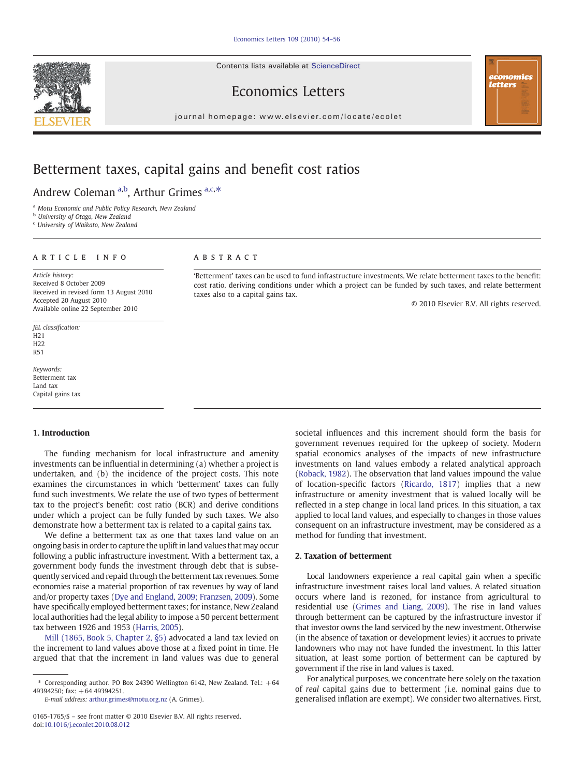Contents lists available at ScienceDirect





© 2010 Elsevier B.V. All rights reserved.

## Economics Letters

 $j$  o u r n a l  $h$  of  $q$  is even  $\alpha$  . The contract of  $\alpha$  is even  $\alpha$  that  $\alpha$  is even  $\alpha$  and  $\alpha$  is even  $\alpha$  is even  $\alpha$  . Then  $\alpha$ 

# Betterment taxes, capital gains and benefit cost ratios

Andrew Coleman a,b, Arthur Grimes a,c,\*

<sup>a</sup> Motu Economic and Public Policy Research, New Zealand

**b** University of Otago, New Zealand

<sup>c</sup> University of Waikato, New Zealand

### article info abstract

taxes also to a capital gains tax.

Article history: Received 8 October 2009 Received in revised form 13 August 2010 Accepted 20 August 2010 Available online 22 September 2010

JEL classification: H21 H22 R51

Keywords: Betterment tax Land tax Capital gains tax

#### 1. Introduction

The funding mechanism for local infrastructure and amenity investments can be influential in determining (a) whether a project is undertaken, and (b) the incidence of the project costs. This note examines the circumstances in which 'betterment' taxes can fully fund such investments. We relate the use of two types of betterment tax to the project's benefit: cost ratio (BCR) and derive conditions under which a project can be fully funded by such taxes. We also demonstrate how a betterment tax is related to a capital gains tax.

We define a betterment tax as one that taxes land value on an ongoing basis in order to capture the uplift in land values that may occur following a public infrastructure investment. With a betterment tax, a government body funds the investment through debt that is subsequently serviced and repaid through the betterment tax revenues. Some economies raise a material proportion of tax revenues by way of land and/or property taxes [\(Dye and England, 2009; Franzsen, 2009\)](#page-2-0). Some have specifically employed betterment taxes; for instance, New Zealand local authorities had the legal ability to impose a 50 percent betterment tax between 1926 and 1953 ([Harris, 2005](#page-2-0)).

[Mill \(1865, Book 5, Chapter 2, §5\)](#page-2-0) advocated a land tax levied on the increment to land values above those at a fixed point in time. He argued that that the increment in land values was due to general

E-mail address: [arthur.grimes@motu.org.nz](mailto:arthur.grimes@motu.org.nz) (A. Grimes).

0165-1765/\$ – see front matter © 2010 Elsevier B.V. All rights reserved. doi[:10.1016/j.econlet.2010.08.012](http://dx.doi.org/10.1016/j.econlet.2010.08.012)

societal influences and this increment should form the basis for government revenues required for the upkeep of society. Modern spatial economics analyses of the impacts of new infrastructure investments on land values embody a related analytical approach [\(Roback, 1982\)](#page-2-0). The observation that land values impound the value of location-specific factors [\(Ricardo, 1817\)](#page-2-0) implies that a new infrastructure or amenity investment that is valued locally will be reflected in a step change in local land prices. In this situation, a tax applied to local land values, and especially to changes in those values consequent on an infrastructure investment, may be considered as a method for funding that investment.

#### 2. Taxation of betterment

'Betterment' taxes can be used to fund infrastructure investments. We relate betterment taxes to the benefit: cost ratio, deriving conditions under which a project can be funded by such taxes, and relate betterment

> Local landowners experience a real capital gain when a specific infrastructure investment raises local land values. A related situation occurs where land is rezoned, for instance from agricultural to residential use ([Grimes and Liang, 2009](#page-2-0)). The rise in land values through betterment can be captured by the infrastructure investor if that investor owns the land serviced by the new investment. Otherwise (in the absence of taxation or development levies) it accrues to private landowners who may not have funded the investment. In this latter situation, at least some portion of betterment can be captured by government if the rise in land values is taxed.

> For analytical purposes, we concentrate here solely on the taxation of real capital gains due to betterment (i.e. nominal gains due to generalised inflation are exempt). We consider two alternatives. First,

 $*$  Corresponding author. PO Box 24390 Wellington 6142, New Zealand. Tel.:  $+64$ 49394250; fax: +64 49394251.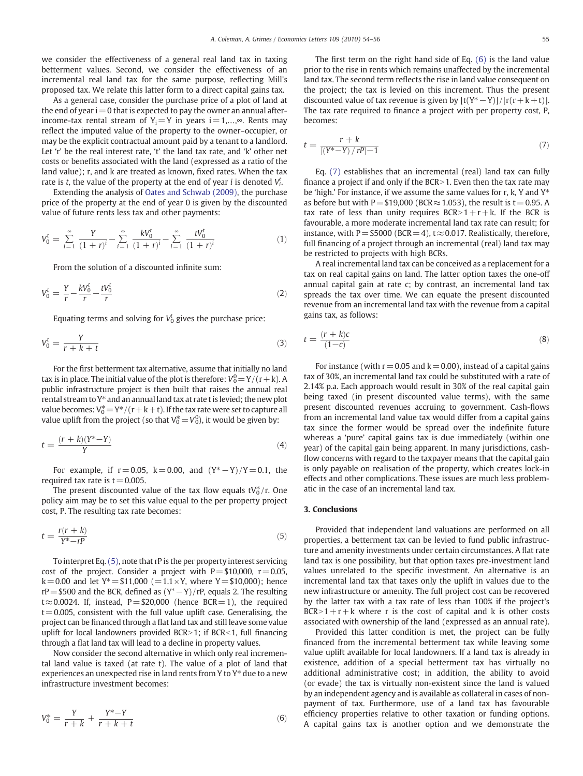we consider the effectiveness of a general real land tax in taxing betterment values. Second, we consider the effectiveness of an incremental real land tax for the same purpose, reflecting Mill's proposed tax. We relate this latter form to a direct capital gains tax.

As a general case, consider the purchase price of a plot of land at the end of year  $i=0$  that is expected to pay the owner an annual afterincome-tax rental stream of Y<sub>i</sub> = Y in years i = 1,...,∞. Rents may reflect the imputed value of the property to the owner–occupier, or may be the explicit contractual amount paid by a tenant to a landlord. Let 'r' be the real interest rate, 't' the land tax rate, and 'k' other net costs or benefits associated with the land (expressed as a ratio of the land value); r, and k are treated as known, fixed rates. When the tax rate is t, the value of the property at the end of year i is denoted  $V_i^t$ .

Extending the analysis of [Oates and Schwab \(2009\)](#page-2-0), the purchase price of the property at the end of year 0 is given by the discounted value of future rents less tax and other payments:

$$
V_0^t = \sum_{i=1}^{\infty} \frac{Y}{(1+r)^i} - \sum_{i=1}^{\infty} \frac{kV_0^t}{(1+r)^i} - \sum_{i=1}^{\infty} \frac{tV_0^t}{(1+r)^i}
$$
(1)

From the solution of a discounted infinite sum:

$$
V_0^t = \frac{Y}{r} - \frac{kV_0^t}{r} - \frac{tV_0^t}{r}
$$
 (2)

Equating terms and solving for  $V_0^t$  gives the purchase price:

$$
V_0^t = \frac{Y}{r + k + t} \tag{3}
$$

For the first betterment tax alternative, assume that initially no land tax is in place. The initial value of the plot is therefore:  $V^0_0$   $=$  Y  $/($  r  $+$  k). A public infrastructure project is then built that raises the annual real rental stream to Y\* and an annual land tax at rate t is levied; the new plot value becomes:  $\rm V_0^*\!=\!Y^*/(r\!+\!k\!+\!t)$ . If the tax rate were set to capture all value uplift from the project (so that  $\mathrm{V}^*_0\!=\!\mathrm{V}^0_0$ ), it would be given by:

$$
t = \frac{(r+k)(Y^* - Y)}{Y} \tag{4}
$$

For example, if  $r = 0.05$ ,  $k = 0.00$ , and  $(Y^* - Y)/Y = 0.1$ , the required tax rate is  $t = 0.005$ .

The present discounted value of the tax flow equals  $\mathsf{t}V_0^*$ /r. One policy aim may be to set this value equal to the per property project cost, P. The resulting tax rate becomes:

$$
t = \frac{r(r+k)}{Y^*-rp} \tag{5}
$$

To interpret Eq. (5), note that rP is the per property interest servicing cost of the project. Consider a project with  $P = $10,000$ ,  $r = 0.05$ ,  $k=0.00$  and let  $Y^* = $11,000 (=1.1 \times Y)$ , where  $Y= $10,000$ ; hence rP = \$500 and the BCR, defined as  $(Y^* - Y)/rP$ , equals 2. The resulting t $\approx$ 0.0024. If, instead, P=\$20,000 (hence BCR=1), the required  $t=0.005$ , consistent with the full value uplift case. Generalising, the project can be financed through a flat land tax and still leave some value uplift for local landowners provided BCR>1; if BCR<1, full financing through a flat land tax will lead to a decline in property values.

Now consider the second alternative in which only real incremental land value is taxed (at rate t). The value of a plot of land that experiences an unexpected rise in land rents from Y to  $Y^*$  due to a new infrastructure investment becomes:

$$
V_0^* = \frac{Y}{r+k} + \frac{Y^*-Y}{r+k+t} \tag{6}
$$

The first term on the right hand side of Eq. (6) is the land value prior to the rise in rents which remains unaffected by the incremental land tax. The second term reflects the rise in land value consequent on the project; the tax is levied on this increment. Thus the present discounted value of tax revenue is given by  $[t(Y^* - Y)]/[r(r + k + t)].$ The tax rate required to finance a project with per property cost, P, becomes:

$$
t = \frac{r + k}{[(Y^* - Y) / rP] - 1}
$$
\n(7)

Eq. (7) establishes that an incremental (real) land tax can fully finance a project if and only if the BCR > 1. Even then the tax rate may be 'high.' For instance, if we assume the same values for r, k, Y and  $Y^*$ as before but with P =  $$19,000$  (BCR  $\approx$  1.053), the result is t = 0.95. A tax rate of less than unity requires  $BCR > 1 + r + k$ . If the BCR is favourable, a more moderate incremental land tax rate can result; for instance, with P =  $$5000$  (BCR = 4), t  $\approx$  0.017. Realistically, therefore, full financing of a project through an incremental (real) land tax may be restricted to projects with high BCRs.

A real incremental land tax can be conceived as a replacement for a tax on real capital gains on land. The latter option taxes the one-off annual capital gain at rate c; by contrast, an incremental land tax spreads the tax over time. We can equate the present discounted revenue from an incremental land tax with the revenue from a capital gains tax, as follows:

$$
t = \frac{(r+k)c}{(1-c)}\tag{8}
$$

For instance (with  $r = 0.05$  and  $k = 0.00$ ), instead of a capital gains tax of 30%, an incremental land tax could be substituted with a rate of 2.14% p.a. Each approach would result in 30% of the real capital gain being taxed (in present discounted value terms), with the same present discounted revenues accruing to government. Cash-flows from an incremental land value tax would differ from a capital gains tax since the former would be spread over the indefinite future whereas a 'pure' capital gains tax is due immediately (within one year) of the capital gain being apparent. In many jurisdictions, cashflow concerns with regard to the taxpayer means that the capital gain is only payable on realisation of the property, which creates lock-in effects and other complications. These issues are much less problematic in the case of an incremental land tax.

#### 3. Conclusions

Provided that independent land valuations are performed on all properties, a betterment tax can be levied to fund public infrastructure and amenity investments under certain circumstances. A flat rate land tax is one possibility, but that option taxes pre-investment land values unrelated to the specific investment. An alternative is an incremental land tax that taxes only the uplift in values due to the new infrastructure or amenity. The full project cost can be recovered by the latter tax with a tax rate of less than 100% if the project's  $BCR > 1 + r + k$  where r is the cost of capital and k is other costs associated with ownership of the land (expressed as an annual rate).

Provided this latter condition is met, the project can be fully financed from the incremental betterment tax while leaving some value uplift available for local landowners. If a land tax is already in existence, addition of a special betterment tax has virtually no additional administrative cost; in addition, the ability to avoid (or evade) the tax is virtually non-existent since the land is valued by an independent agency and is available as collateral in cases of nonpayment of tax. Furthermore, use of a land tax has favourable efficiency properties relative to other taxation or funding options. A capital gains tax is another option and we demonstrate the